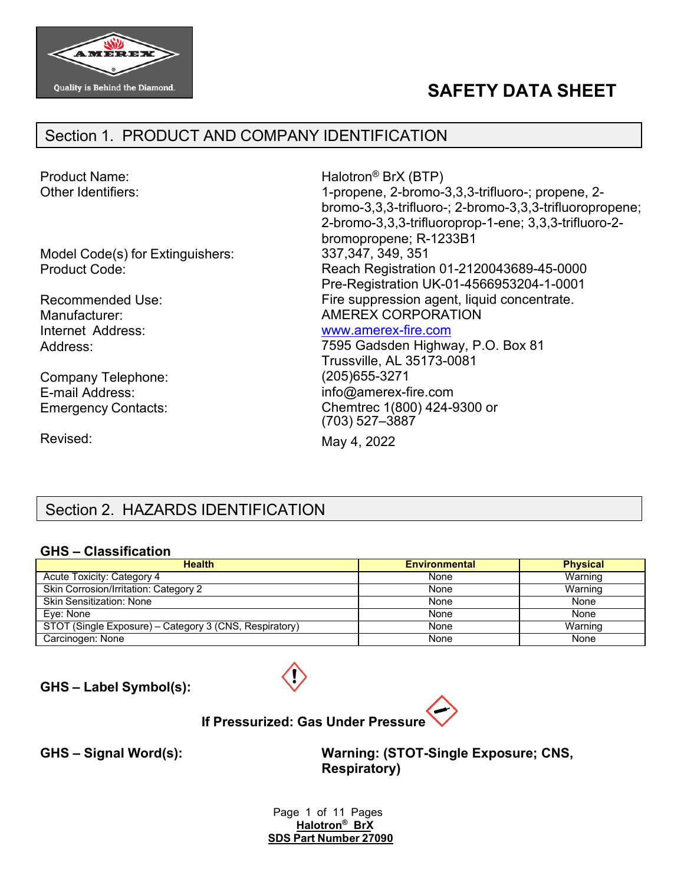

# **SAFETY DATA SHEET**

### Section 1. PRODUCT AND COMPANY IDENTIFICATION

Other Identifiers:

Model Code(s) for Extinguishers: Product Code:

Recommended Use: Manufacturer: Internet Address: Address:

Company Telephone: E-mail Address: Emergency Contacts:

Revised:

Product Name: Halotron<sup>®</sup> BrX (BTP) 1-propene, 2-bromo-3,3,3-trifluoro-; propene, 2 bromo-3,3,3-trifluoro-; 2-bromo-3,3,3-trifluoropropene; 2-bromo-3,3,3-trifluoroprop-1-ene; 3,3,3-trifluoro-2 bromopropene; R-1233B1 337,347, 349, 351 Reach Registration 01-2120043689-45-0000 Pre-Registration UK-01-4566953204-1-0001 Fire suppression agent, liquid concentrate. AMEREX CORPORATION [www.amerex-fire.com](http://www.amerex-fire.com/)

> 7595 Gadsden Highway, P.O. Box 81 Trussville, AL 35173-0081 (205)655-3271 [info@amerex-fire.com](mailto:info@amerex-fire.com) Chemtrec 1(800) 424-9300 or (703) 527–3887

May 4, 2022

# Section 2. HAZARDS IDENTIFICATION

#### **GHS – Classification**

| <b>Health</b>                                          | <b>Environmental</b> | <b>Physical</b> |
|--------------------------------------------------------|----------------------|-----------------|
| Acute Toxicity: Category 4                             | None                 | Warning         |
| Skin Corrosion/Irritation: Category 2                  | None                 | Warning         |
| <b>Skin Sensitization: None</b>                        | None                 | None            |
| Eye: None                                              | None                 | None            |
| STOT (Single Exposure) – Category 3 (CNS, Respiratory) | None                 | Warning         |
| Carcinogen: None                                       | None                 | None            |

**GHS – Label Symbol(s):**



**If Pressurized: Gas Under Pressure**

**GHS – Signal Word(s): Warning: (STOT-Single Exposure; CNS, Respiratory)**

> Page 1 of 11 Pages **Halotron® BrX SDS Part Number 27090**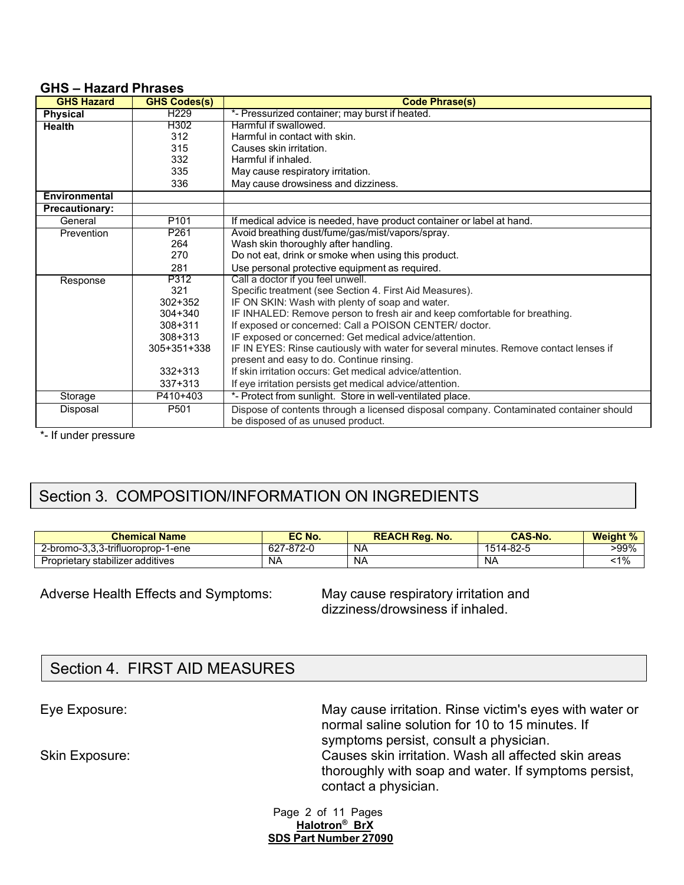#### **GHS – Hazard Phrases**

| <b>GHS Hazard</b>     | <b>GHS Codes(s)</b> | <b>Code Phrase(s)</b>                                                                  |
|-----------------------|---------------------|----------------------------------------------------------------------------------------|
| Physical              | H <sub>229</sub>    | *- Pressurized container; may burst if heated.                                         |
| <b>Health</b>         | H302                | Harmful if swallowed.                                                                  |
|                       | 312                 | Harmful in contact with skin.                                                          |
|                       | 315                 | Causes skin irritation.                                                                |
|                       | 332                 | Harmful if inhaled.                                                                    |
|                       | 335                 | May cause respiratory irritation.                                                      |
|                       | 336                 | May cause drowsiness and dizziness.                                                    |
| <b>Environmental</b>  |                     |                                                                                        |
| <b>Precautionary:</b> |                     |                                                                                        |
| General               | P <sub>101</sub>    | If medical advice is needed, have product container or label at hand.                  |
| Prevention            | P <sub>261</sub>    | Avoid breathing dust/fume/gas/mist/vapors/spray.                                       |
|                       | 264                 | Wash skin thoroughly after handling.                                                   |
|                       | 270                 | Do not eat, drink or smoke when using this product.                                    |
|                       | 281                 | Use personal protective equipment as required.                                         |
| Response              | P312                | Call a doctor if you feel unwell.                                                      |
|                       | 321                 | Specific treatment (see Section 4. First Aid Measures).                                |
|                       | $302 + 352$         | IF ON SKIN: Wash with plenty of soap and water.                                        |
|                       | $304 + 340$         | IF INHALED: Remove person to fresh air and keep comfortable for breathing.             |
|                       | $308 + 311$         | If exposed or concerned: Call a POISON CENTER/ doctor.                                 |
|                       | $308 + 313$         | IF exposed or concerned: Get medical advice/attention.                                 |
|                       | 305+351+338         | IF IN EYES: Rinse cautiously with water for several minutes. Remove contact lenses if  |
|                       |                     | present and easy to do. Continue rinsing.                                              |
|                       | $332 + 313$         | If skin irritation occurs: Get medical advice/attention.                               |
|                       | 337+313             | If eye irritation persists get medical advice/attention.                               |
| Storage               | P410+403            | *- Protect from sunlight. Store in well-ventilated place.                              |
| Disposal              | P501                | Dispose of contents through a licensed disposal company. Contaminated container should |
|                       |                     | be disposed of as unused product.                                                      |

\*- If under pressure

# Section 3. COMPOSITION/INFORMATION ON INGREDIENTS

| <b>Chemical Name</b>              | EC No.           | <b>REACH Reg. No.</b> | <b>CAS-No.</b> | <b>Weight %</b><br>70. |
|-----------------------------------|------------------|-----------------------|----------------|------------------------|
| 2-bromo-3.3.3-trifluoroprop-1-ene | 627-872-0<br>OZ. | NA                    | 1514-82-5      | >99%                   |
| Proprietary stabilizer additives  | NA               | <b>NA</b>             | -NA            | $-1\%$                 |

#### Adverse Health Effects and Symptoms: May cause respiratory irritation and

dizziness/drowsiness if inhaled.

## Section 4. FIRST AID MEASURES

Eye Exposure: May cause irritation. Rinse victim's eyes with water or normal saline solution for 10 to 15 minutes. If symptoms persist, consult a physician. Skin Exposure: Causes skin irritation. Wash all affected skin areas thoroughly with soap and water. If symptoms persist, contact a physician.

> Page 2 of 11 Pages **Halotron® BrX SDS Part Number 27090**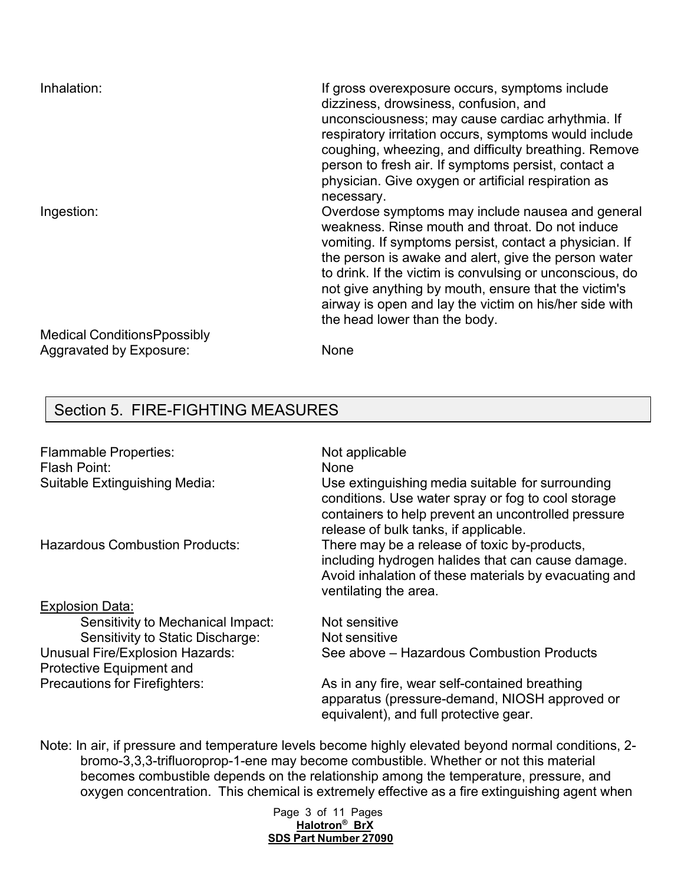| Inhalation:                        | If gross overexposure occurs, symptoms include<br>dizziness, drowsiness, confusion, and<br>unconsciousness; may cause cardiac arhythmia. If<br>respiratory irritation occurs, symptoms would include<br>coughing, wheezing, and difficulty breathing. Remove<br>person to fresh air. If symptoms persist, contact a<br>physician. Give oxygen or artificial respiration as<br>necessary.                                             |
|------------------------------------|--------------------------------------------------------------------------------------------------------------------------------------------------------------------------------------------------------------------------------------------------------------------------------------------------------------------------------------------------------------------------------------------------------------------------------------|
| Ingestion:                         | Overdose symptoms may include nausea and general<br>weakness. Rinse mouth and throat. Do not induce<br>vomiting. If symptoms persist, contact a physician. If<br>the person is awake and alert, give the person water<br>to drink. If the victim is convulsing or unconscious, do<br>not give anything by mouth, ensure that the victim's<br>airway is open and lay the victim on his/her side with<br>the head lower than the body. |
| <b>Medical ConditionsPpossibly</b> |                                                                                                                                                                                                                                                                                                                                                                                                                                      |
| Aggravated by Exposure:            | None                                                                                                                                                                                                                                                                                                                                                                                                                                 |

## Section 5. FIRE-FIGHTING MEASURES

| <b>Flammable Properties:</b><br>Flash Point:<br>Suitable Extinguishing Media: | Not applicable<br>None<br>Use extinguishing media suitable for surrounding<br>conditions. Use water spray or fog to cool storage<br>containers to help prevent an uncontrolled pressure<br>release of bulk tanks, if applicable. |
|-------------------------------------------------------------------------------|----------------------------------------------------------------------------------------------------------------------------------------------------------------------------------------------------------------------------------|
| <b>Hazardous Combustion Products:</b>                                         | There may be a release of toxic by-products,<br>including hydrogen halides that can cause damage.<br>Avoid inhalation of these materials by evacuating and<br>ventilating the area.                                              |
| <b>Explosion Data:</b>                                                        |                                                                                                                                                                                                                                  |
| Sensitivity to Mechanical Impact:                                             | Not sensitive                                                                                                                                                                                                                    |
| Sensitivity to Static Discharge:                                              | Not sensitive                                                                                                                                                                                                                    |
| Unusual Fire/Explosion Hazards:<br><b>Protective Equipment and</b>            | See above – Hazardous Combustion Products                                                                                                                                                                                        |
| <b>Precautions for Firefighters:</b>                                          | As in any fire, wear self-contained breathing<br>apparatus (pressure-demand, NIOSH approved or<br>equivalent), and full protective gear.                                                                                         |

Note: In air, if pressure and temperature levels become highly elevated beyond normal conditions, 2 bromo-3,3,3-trifluoroprop-1-ene may become combustible. Whether or not this material becomes combustible depends on the relationship among the temperature, pressure, and oxygen concentration. This chemical is extremely effective as a fire extinguishing agent when

#### Page 3 of 11 Pages **Halotron® BrX SDS Part Number 27090**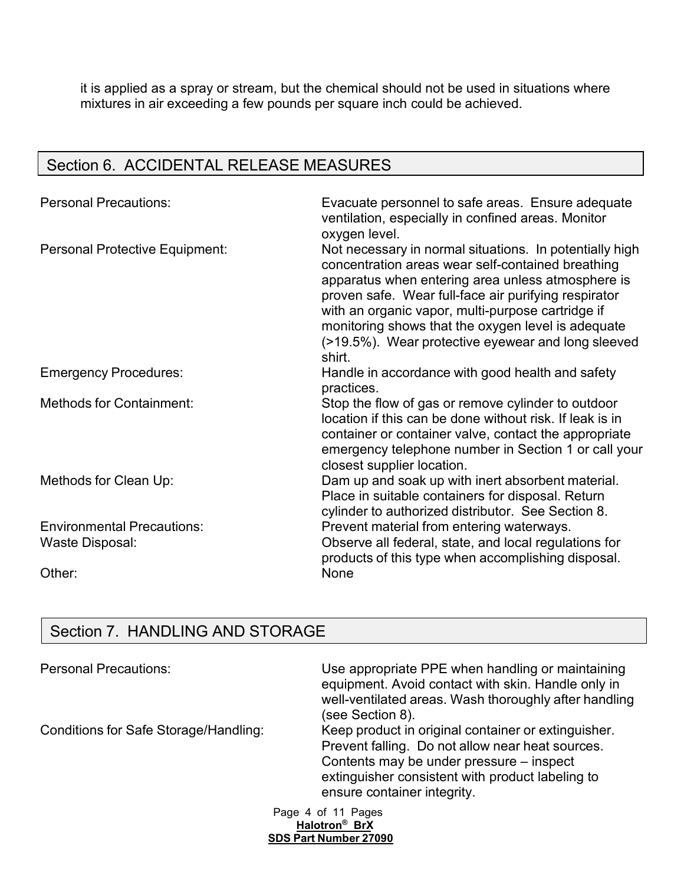it is applied as a spray or stream, but the chemical should not be used in situations where mixtures in air exceeding a few pounds per square inch could be achieved.

# Section 6. ACCIDENTAL RELEASE MEASURES

| <b>Personal Precautions:</b>                         | Evacuate personnel to safe areas. Ensure adequate<br>ventilation, especially in confined areas. Monitor<br>oxygen level.                                                                                                                                                                                                                                                                             |  |  |
|------------------------------------------------------|------------------------------------------------------------------------------------------------------------------------------------------------------------------------------------------------------------------------------------------------------------------------------------------------------------------------------------------------------------------------------------------------------|--|--|
| Personal Protective Equipment:                       | Not necessary in normal situations. In potentially high<br>concentration areas wear self-contained breathing<br>apparatus when entering area unless atmosphere is<br>proven safe. Wear full-face air purifying respirator<br>with an organic vapor, multi-purpose cartridge if<br>monitoring shows that the oxygen level is adequate<br>(>19.5%). Wear protective eyewear and long sleeved<br>shirt. |  |  |
| <b>Emergency Procedures:</b>                         | Handle in accordance with good health and safety<br>practices.                                                                                                                                                                                                                                                                                                                                       |  |  |
| <b>Methods for Containment:</b>                      | Stop the flow of gas or remove cylinder to outdoor<br>location if this can be done without risk. If leak is in<br>container or container valve, contact the appropriate<br>emergency telephone number in Section 1 or call your<br>closest supplier location.                                                                                                                                        |  |  |
| Methods for Clean Up:                                | Dam up and soak up with inert absorbent material.<br>Place in suitable containers for disposal. Return<br>cylinder to authorized distributor. See Section 8.                                                                                                                                                                                                                                         |  |  |
| <b>Environmental Precautions:</b><br>Waste Disposal: | Prevent material from entering waterways.<br>Observe all federal, state, and local regulations for<br>products of this type when accomplishing disposal.                                                                                                                                                                                                                                             |  |  |
| Other:                                               | None                                                                                                                                                                                                                                                                                                                                                                                                 |  |  |

## Section 7. HANDLING AND STORAGE

| <b>Personal Precautions:</b>          | Use appropriate PPE when handling or maintaining<br>equipment. Avoid contact with skin. Handle only in<br>well-ventilated areas. Wash thoroughly after handling<br>(see Section 8).                                                    |
|---------------------------------------|----------------------------------------------------------------------------------------------------------------------------------------------------------------------------------------------------------------------------------------|
| Conditions for Safe Storage/Handling: | Keep product in original container or extinguisher.<br>Prevent falling. Do not allow near heat sources.<br>Contents may be under pressure – inspect<br>extinguisher consistent with product labeling to<br>ensure container integrity. |
|                                       | Page 4 of 11 Pages                                                                                                                                                                                                                     |

**Halotron® BrX SDS Part Number 27090**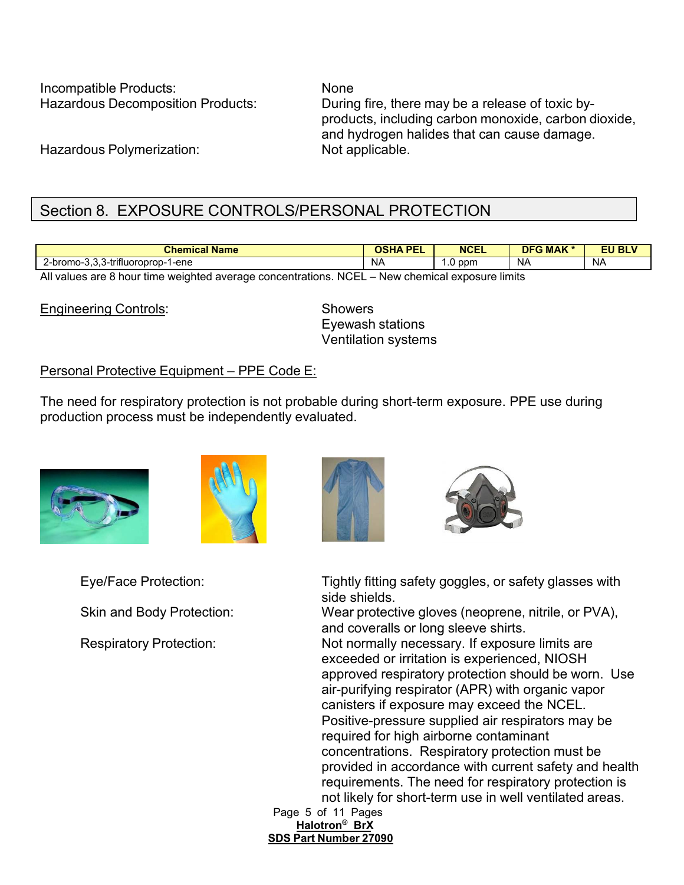Incompatible Products: None

Hazardous Decomposition Products: During fire, there may be a release of toxic byproducts, including carbon monoxide, carbon dioxide, and hydrogen halides that can cause damage.

Hazardous Polymerization: Not applicable.

# Section 8. EXPOSURE CONTROLS/PERSONAL PROTECTION

| <b>Chemical Name</b>                                                           | <b>DEI</b><br>ארכע<br>. . | <b>NCEL</b> | <b>DFG MAK</b> | <b>EU BLV</b> |
|--------------------------------------------------------------------------------|---------------------------|-------------|----------------|---------------|
| .<br>$\sim$ $\sim$ $\sim$<br>$2$ -bromo-3, $\sim$<br>-ene<br>3-trifluoroprop-1 | N/                        | ppm<br>.v   | NA             | NA            |
| .<br>$\cdots$<br>$\sim$                                                        |                           |             | . .            |               |

All values are 8 hour time weighted average concentrations. NCEL – New chemical exposure limits

Engineering Controls: Showers

Eyewash stations Ventilation systems

#### Personal Protective Equipment – PPE Code E:

The need for respiratory protection is not probable during short-term exposure. PPE use during production process must be independently evaluated.









Eye/Face Protection: Tightly fitting safety goggles, or safety glasses with side shields.

Skin and Body Protection: Wear protective gloves (neoprene, nitrile, or PVA), and coveralls or long sleeve shirts.

Respiratory Protection: Not normally necessary. If exposure limits are exceeded or irritation is experienced, NIOSH approved respiratory protection should be worn. Use air-purifying respirator (APR) with organic vapor canisters if exposure may exceed the NCEL. Positive-pressure supplied air respirators may be required for high airborne contaminant concentrations. Respiratory protection must be provided in accordance with current safety and health requirements. The need for respiratory protection is not likely for short-term use in well ventilated areas.

Page 5 of 11 Pages **Halotron® BrX SDS Part Number 27090**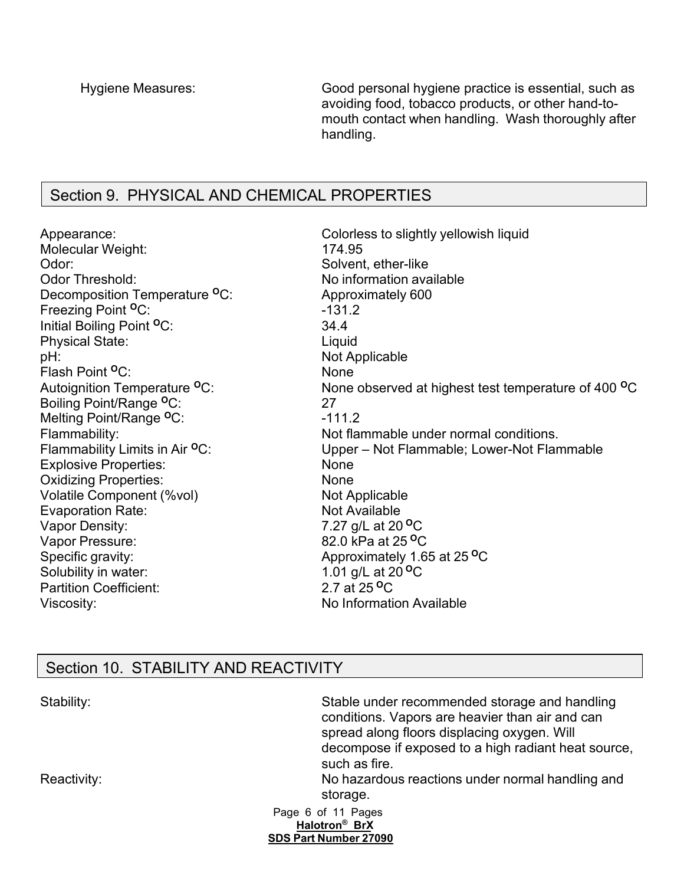Hygiene Measures: Good personal hygiene practice is essential, such as avoiding food, tobacco products, or other hand-tomouth contact when handling. Wash thoroughly after handling.

### Section 9. PHYSICAL AND CHEMICAL PROPERTIES

Molecular Weight: 174.95 Odor: Solvent, ether-like Odor Threshold: No information available Decomposition Temperature **<sup>O</sup>**C: Approximately 600 Freezing Point <sup>O</sup>C: 431.2 Initial Boiling Point **<sup>O</sup>**C: 34.4 Physical State: Liquid pH: Not Applicable Flash Point <sup>O</sup>C: None Boiling Point/Range **<sup>O</sup>**C: 27 Melting Point/Range <sup>o</sup>C: Explosive Properties: None Oxidizing Properties: None Volatile Component (%vol) Not Applicable Evaporation Rate: Not Available Vapor Density: 7.27 g/L at 20 **<sup>O</sup>**C Vapor Pressure: 82.0 kPa at 25 **<sup>O</sup>**C Specific gravity: Approximately 1.65 at 25 **<sup>O</sup>**C Solubility in water: 1.01 g/L at 20 <sup>o</sup>C Partition Coefficient: 2.7 at 25<sup>o</sup>C Viscosity: Viscosity: No Information Available

Appearance: Colorless to slightly yellowish liquid Autoignition Temperature **<sup>O</sup>**C: None observed at highest test temperature of 400 **<sup>O</sup>**C Flammability:<br>Flammability Limits in Air <sup>o</sup>C: Not flammable under normal conditions.<br>Upper – Not Flammable; Lower-Not Flam Upper – Not Flammable; Lower-Not Flammable

# Section 10. STABILITY AND REACTIVITY

| Stability:  | Stable under recommended storage and handling<br>conditions. Vapors are heavier than air and can<br>spread along floors displacing oxygen. Will |
|-------------|-------------------------------------------------------------------------------------------------------------------------------------------------|
|             | decompose if exposed to a high radiant heat source,<br>such as fire.                                                                            |
| Reactivity: | No hazardous reactions under normal handling and<br>storage.                                                                                    |
|             | Page 6 of 11 Pages                                                                                                                              |
|             | Halotron <sup>®</sup> BrX                                                                                                                       |
|             | SDS Part Number 27090                                                                                                                           |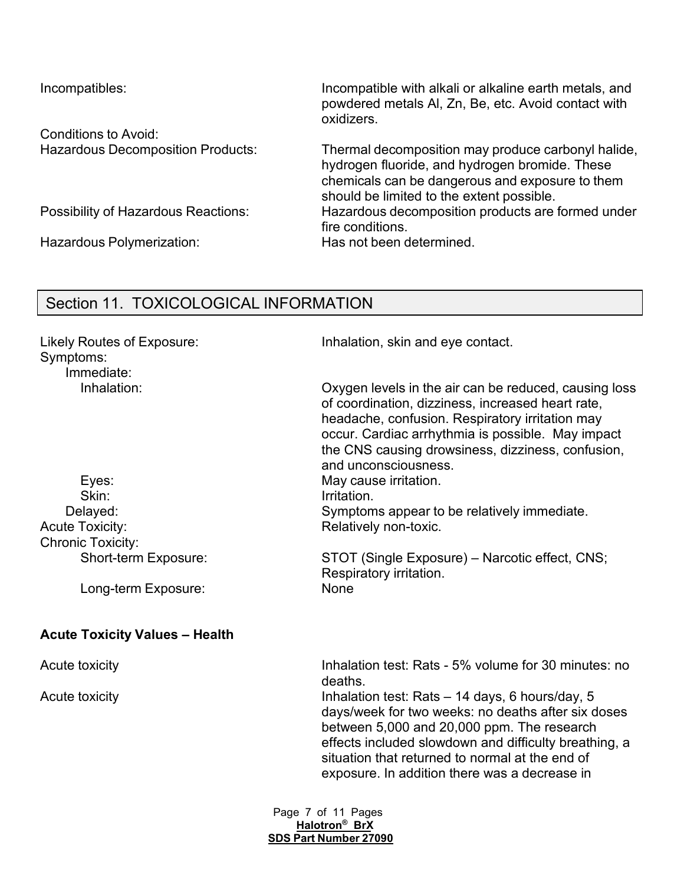Conditions to Avoid:

Hazardous Polymerization: Has not been determined.

Incompatibles: Incompatible with alkali or alkaline earth metals, and powdered metals Al, Zn, Be, etc. Avoid contact with oxidizers.

Hazardous Decomposition Products: Thermal decomposition may produce carbonyl halide, hydrogen fluoride, and hydrogen bromide. These chemicals can be dangerous and exposure to them should be limited to the extent possible. Possibility of Hazardous Reactions: Hazardous decomposition products are formed under fire conditions.

### Section 11. TOXICOLOGICAL INFORMATION

Symptoms: Immediate:

Skin: Irritation. Acute Toxicity: Acute Toxicity: Acute Toxicity: Chronic Toxicity:

Long-term Exposure: None

### **Acute Toxicity Values – Health**

Likely Routes of Exposure: Inhalation, skin and eye contact.

Inhalation: Oxygen levels in the air can be reduced, causing loss of coordination, dizziness, increased heart rate, headache, confusion. Respiratory irritation may occur. Cardiac arrhythmia is possible. May impact the CNS causing drowsiness, dizziness, confusion, and unconsciousness. Eyes: May cause irritation.

Delayed: Symptoms appear to be relatively immediate.

Short-term Exposure: STOT (Single Exposure) – Narcotic effect, CNS; Respiratory irritation.

Acute toxicity **Inhalation test: Rats - 5% volume for 30 minutes: no** deaths.

Acute toxicity **Inhalation test: Rats – 14 days, 6 hours/day, 5** hours/day, 5 days/week for two weeks: no deaths after six doses between 5,000 and 20,000 ppm. The research effects included slowdown and difficulty breathing, a situation that returned to normal at the end of exposure. In addition there was a decrease in

> Page 7 of 11 Pages **Halotron® BrX SDS Part Number 27090**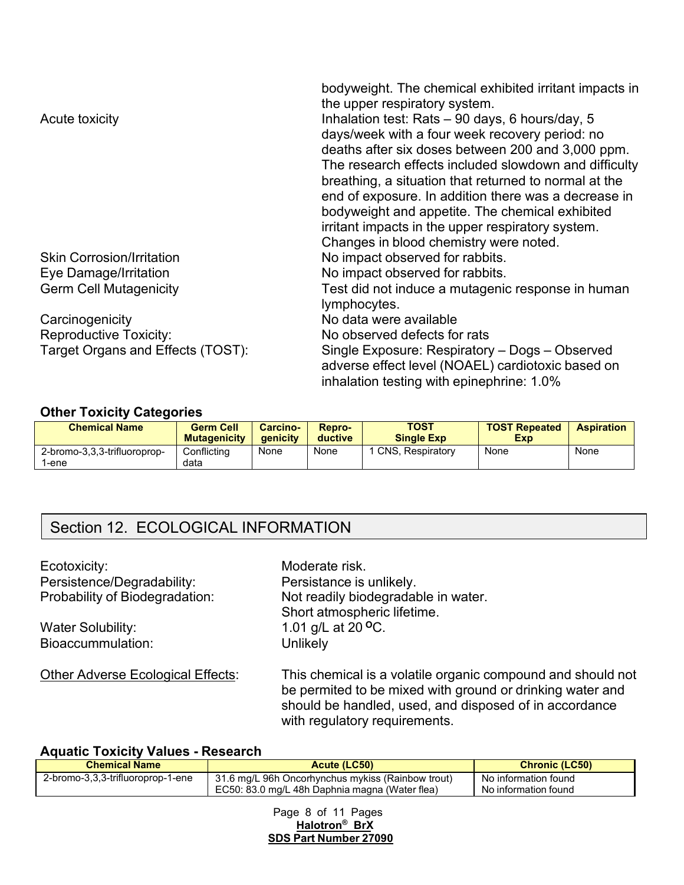|                                   | bodyweight. The chemical exhibited irritant impacts in<br>the upper respiratory system. |
|-----------------------------------|-----------------------------------------------------------------------------------------|
| Acute toxicity                    | Inhalation test: Rats - 90 days, 6 hours/day, 5                                         |
|                                   | days/week with a four week recovery period: no                                          |
|                                   | deaths after six doses between 200 and 3,000 ppm.                                       |
|                                   | The research effects included slowdown and difficulty                                   |
|                                   | breathing, a situation that returned to normal at the                                   |
|                                   | end of exposure. In addition there was a decrease in                                    |
|                                   | bodyweight and appetite. The chemical exhibited                                         |
|                                   | irritant impacts in the upper respiratory system.                                       |
|                                   | Changes in blood chemistry were noted.                                                  |
| <b>Skin Corrosion/Irritation</b>  | No impact observed for rabbits.                                                         |
| Eye Damage/Irritation             | No impact observed for rabbits.                                                         |
| <b>Germ Cell Mutagenicity</b>     | Test did not induce a mutagenic response in human<br>lymphocytes.                       |
| Carcinogenicity                   | No data were available                                                                  |
| <b>Reproductive Toxicity:</b>     | No observed defects for rats                                                            |
| Target Organs and Effects (TOST): | Single Exposure: Respiratory - Dogs - Observed                                          |
|                                   | adverse effect level (NOAEL) cardiotoxic based on                                       |
|                                   | inhalation testing with epinephrine: 1.0%                                               |

#### **Other Toxicity Categories**

| <b>Chemical Name</b>                 | <b>Germ Cell</b><br><b>Mutagenicity</b> | Carcino-<br><b>aenicity</b> | Repro-<br>ductive | <b>TOST</b><br><b>Single Exp</b> | <b>TOST Repeated</b><br><b>Exp</b> | <b>Aspiration</b> |
|--------------------------------------|-----------------------------------------|-----------------------------|-------------------|----------------------------------|------------------------------------|-------------------|
| 2-bromo-3,3,3-trifluoroprop-<br>-ene | Conflicting<br>data                     | None                        | None              | <b>CNS. Respiratory</b>          | None                               | None              |

## Section 12. ECOLOGICAL INFORMATION

Ecotoxicity: **Moderate risk.** Persistence/Degradability: Persistance is unlikely.<br>Probability of Biodegradation: Not readily biodegradation

Bioaccummulation: Unlikely

Not readily biodegradable in water. Short atmospheric lifetime. Water Solubility:  $1.01 \text{ g/L at } 20 \text{ °C}.$ 

Other Adverse Ecological Effects: This chemical is a volatile organic compound and should not be permited to be mixed with ground or drinking water and should be handled, used, and disposed of in accordance with regulatory requirements.

### **Aquatic Toxicity Values - Research**

| <b>Chemical Name</b><br>Acute (LC50) |                                                   | <b>Chronic (LC50)</b> |
|--------------------------------------|---------------------------------------------------|-----------------------|
| 2-bromo-3,3,3-trifluoroprop-1-ene    | 31.6 mg/L 96h Oncorhynchus mykiss (Rainbow trout) | No information found  |
|                                      | EC50: 83.0 mg/L 48h Daphnia magna (Water flea)    | No information found  |

Page 8 of 11 Pages **Halotron® BrX SDS Part Number 27090**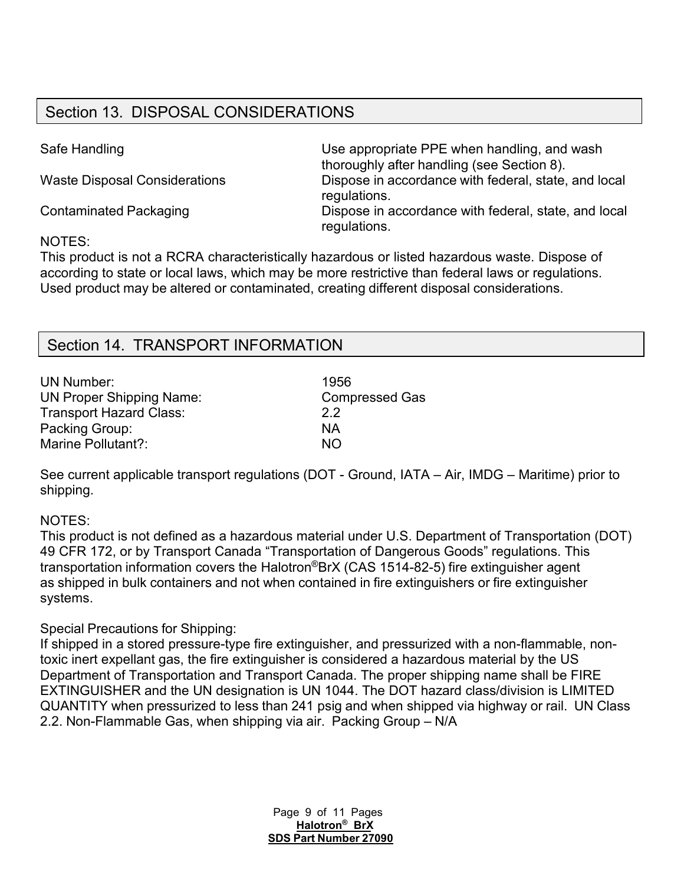# Section 13. DISPOSAL CONSIDERATIONS

Safe Handling **EXECUTE:** Use appropriate PPE when handling, and wash thoroughly after handling (see Section 8). Waste Disposal Considerations Dispose in accordance with federal, state, and local regulations. Contaminated Packaging Dispose in accordance with federal, state, and local regulations.

### NOTES:

This product is not a RCRA characteristically hazardous or listed hazardous waste. Dispose of according to state or local laws, which may be more restrictive than federal laws or regulations. Used product may be altered or contaminated, creating different disposal considerations.

## Section 14. TRANSPORT INFORMATION

| <b>UN Number:</b>               | 1956                  |
|---------------------------------|-----------------------|
| <b>UN Proper Shipping Name:</b> | <b>Compressed Gas</b> |
| <b>Transport Hazard Class:</b>  | 22                    |
| Packing Group:                  | ΝA                    |
| Marine Pollutant?:              | NO.                   |

See current applicable transport regulations (DOT - Ground, IATA – Air, IMDG – Maritime) prior to shipping.

### NOTES:

This product is not defined as a hazardous material under U.S. Department of Transportation (DOT) 49 CFR 172, or by Transport Canada "Transportation of Dangerous Goods" regulations. This transportation information covers the Halotron®BrX (CAS 1514-82-5) fire extinguisher agent as shipped in bulk containers and not when contained in fire extinguishers or fire extinguisher systems.

### Special Precautions for Shipping:

If shipped in a stored pressure-type fire extinguisher, and pressurized with a non-flammable, nontoxic inert expellant gas, the fire extinguisher is considered a hazardous material by the US Department of Transportation and Transport Canada. The proper shipping name shall be FIRE EXTINGUISHER and the UN designation is UN 1044. The DOT hazard class/division is LIMITED QUANTITY when pressurized to less than 241 psig and when shipped via highway or rail. UN Class 2.2. Non-Flammable Gas, when shipping via air. Packing Group – N/A

> Page 9 of 11 Pages **Halotron® BrX SDS Part Number 27090**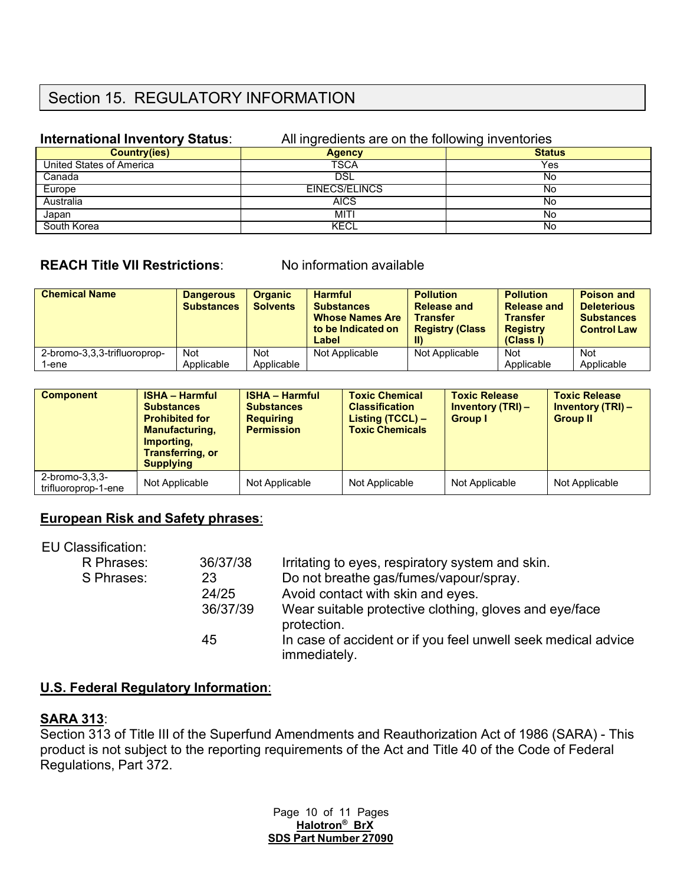## Section 15. REGULATORY INFORMATION

| international inventory status: | All ingredients are on the following inventories |               |
|---------------------------------|--------------------------------------------------|---------------|
| Country(ies)                    | <b>Agency</b>                                    | <b>Status</b> |
| United States of America        | TSCA                                             | Yes           |
| Canada                          | DSL                                              | No            |
| Europe                          | EINECS/ELINCS                                    | No            |
| Australia                       | <b>AICS</b>                                      | No            |
| Japan                           | MITI                                             | No            |
| South Korea                     | KECL                                             | No            |

#### **International Inventory Status**: All ingredients are on the following inventories

### **REACH Title VII Restrictions**: No information available

| <b>Chemical Name</b>         | <b>Dangerous</b><br><b>Substances</b> | <b>Organic</b><br><b>Solvents</b> | <b>Harmful</b><br><b>Substances</b><br><b>Whose Names Are</b><br>to be Indicated on<br>Label | <b>Pollution</b><br><b>Release and</b><br><b>Transfer</b><br><b>Registry (Class</b><br>II) | <b>Pollution</b><br><b>Release and</b><br><b>Transfer</b><br><b>Registry</b><br>(Class I) | <b>Poison and</b><br><b>Deleterious</b><br><b>Substances</b><br><b>Control Law</b> |
|------------------------------|---------------------------------------|-----------------------------------|----------------------------------------------------------------------------------------------|--------------------------------------------------------------------------------------------|-------------------------------------------------------------------------------------------|------------------------------------------------------------------------------------|
| 2-bromo-3,3,3-trifluoroprop- | Not                                   | <b>Not</b>                        | Not Applicable                                                                               | Not Applicable                                                                             | Not                                                                                       | <b>Not</b>                                                                         |
| 1-ene                        | Applicable                            | Applicable                        |                                                                                              |                                                                                            | Applicable                                                                                | Applicable                                                                         |

| <b>Component</b>                             | <b>ISHA - Harmful</b><br><b>Substances</b><br><b>Prohibited for</b><br><b>Manufacturing,</b><br>Importing.<br><b>Transferring, or</b><br><b>Supplying</b> | <b>ISHA - Harmful</b><br><b>Substances</b><br><b>Requiring</b><br><b>Permission</b> | <b>Toxic Chemical</b><br><b>Classification</b><br><b>Listing (TCCL) –</b><br><b>Toxic Chemicals</b> | <b>Toxic Release</b><br><b>Inventory (TRI) -</b><br><b>Group I</b> | <b>Toxic Release</b><br><b>Inventory (TRI) -</b><br><b>Group II</b> |
|----------------------------------------------|-----------------------------------------------------------------------------------------------------------------------------------------------------------|-------------------------------------------------------------------------------------|-----------------------------------------------------------------------------------------------------|--------------------------------------------------------------------|---------------------------------------------------------------------|
| $2$ -bromo- $3,3,3$ -<br>trifluoroprop-1-ene | Not Applicable                                                                                                                                            | Not Applicable                                                                      | Not Applicable                                                                                      | Not Applicable                                                     | Not Applicable                                                      |

### **European Risk and Safety phrases**:

#### EU Classification:

| R Phrases:<br>S Phrases: | 36/37/38<br>23 | Irritating to eyes, respiratory system and skin.<br>Do not breathe gas/fumes/vapour/spray. |
|--------------------------|----------------|--------------------------------------------------------------------------------------------|
| 24/25                    |                | Avoid contact with skin and eyes.                                                          |
|                          | 36/37/39       | Wear suitable protective clothing, gloves and eye/face<br>protection.                      |
|                          | 45             | In case of accident or if you feel unwell seek medical advice<br>immediately.              |

### **U.S. Federal Regulatory Information**:

### **SARA 313**:

Section 313 of Title III of the Superfund Amendments and Reauthorization Act of 1986 (SARA) - This product is not subject to the reporting requirements of the Act and Title 40 of the Code of Federal Regulations, Part 372.

> Page 10 of 11 Pages **Halotron® BrX SDS Part Number 27090**